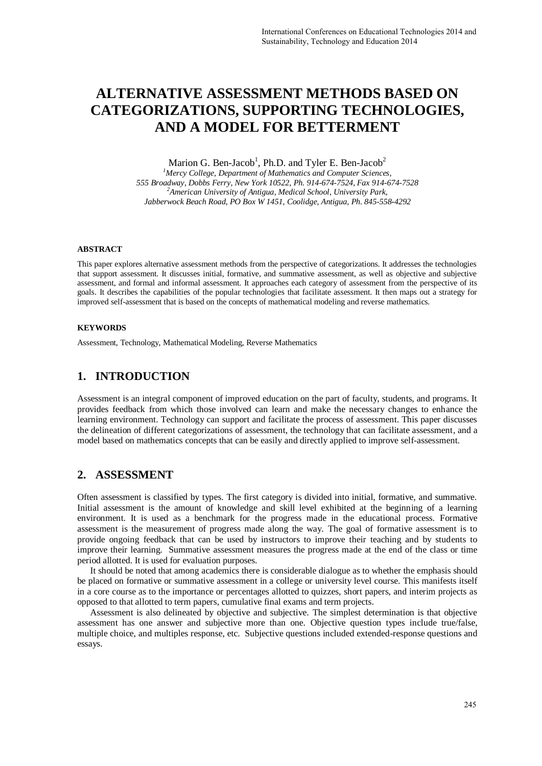# **ALTERNATIVE ASSESSMENT METHODS BASED ON CATEGORIZATIONS, SUPPORTING TECHNOLOGIES, AND A MODEL FOR BETTERMENT**

Marion G. Ben-Jacob<sup>1</sup>, Ph.D. and Tyler E. Ben-Jacob<sup>2</sup>

*<sup>1</sup>Mercy College, Department of Mathematics and Computer Sciences, 555 Broadway, Dobbs Ferry, New York 10522, Ph. 914-674-7524, Fax 914-674-7528 <sup>2</sup>American University of Antigua, Medical School, University Park, Jabberwock Beach Road, PO Box W 1451, Coolidge, Antigua, Ph. 845-558-4292* 

#### **ABSTRACT**

This paper explores alternative assessment methods from the perspective of categorizations. It addresses the technologies that support assessment. It discusses initial, formative, and summative assessment, as well as objective and subjective assessment, and formal and informal assessment. It approaches each category of assessment from the perspective of its goals. It describes the capabilities of the popular technologies that facilitate assessment. It then maps out a strategy for improved self-assessment that is based on the concepts of mathematical modeling and reverse mathematics.

#### **KEYWORDS**

Assessment, Technology, Mathematical Modeling, Reverse Mathematics

## **1. INTRODUCTION**

Assessment is an integral component of improved education on the part of faculty, students, and programs. It provides feedback from which those involved can learn and make the necessary changes to enhance the learning environment. Technology can support and facilitate the process of assessment. This paper discusses the delineation of different categorizations of assessment, the technology that can facilitate assessment, and a model based on mathematics concepts that can be easily and directly applied to improve self-assessment.

## **2. ASSESSMENT**

Often assessment is classified by types. The first category is divided into initial, formative, and summative. Initial assessment is the amount of knowledge and skill level exhibited at the beginning of a learning environment. It is used as a benchmark for the progress made in the educational process. Formative assessment is the measurement of progress made along the way. The goal of formative assessment is to provide ongoing feedback that can be used by instructors to improve their teaching and by students to improve their learning. Summative assessment measures the progress made at the end of the class or time period allotted. It is used for evaluation purposes.

It should be noted that among academics there is considerable dialogue as to whether the emphasis should be placed on formative or summative assessment in a college or university level course. This manifests itself in a core course as to the importance or percentages allotted to quizzes, short papers, and interim projects as opposed to that allotted to term papers, cumulative final exams and term projects.

Assessment is also delineated by objective and subjective. The simplest determination is that objective assessment has one answer and subjective more than one. Objective question types include true/false, multiple choice, and multiples response, etc. Subjective questions included extended-response questions and essays.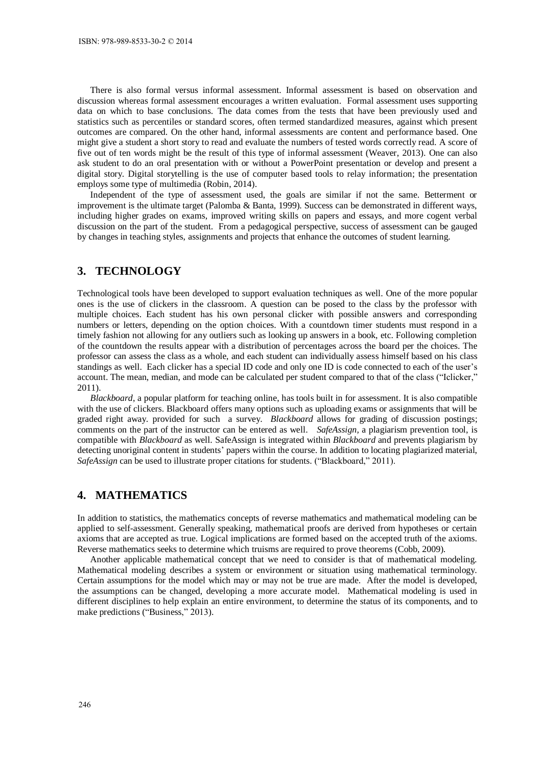There is also formal versus informal assessment. Informal assessment is based on observation and discussion whereas formal assessment encourages a written evaluation. Formal assessment uses supporting data on which to base conclusions. The data comes from the tests that have been previously used and statistics such as percentiles or standard scores, often termed standardized measures, against which present outcomes are compared. On the other hand, informal assessments are content and performance based. One might give a student a short story to read and evaluate the numbers of tested words correctly read. A score of five out of ten words might be the result of this type of informal assessment (Weaver, 2013). One can also ask student to do an oral presentation with or without a PowerPoint presentation or develop and present a digital story. Digital storytelling is the use of computer based tools to relay information; the presentation employs some type of multimedia (Robin, 2014).

Independent of the type of assessment used, the goals are similar if not the same. Betterment or improvement is the ultimate target (Palomba & Banta, 1999). Success can be demonstrated in different ways, including higher grades on exams, improved writing skills on papers and essays, and more cogent verbal discussion on the part of the student. From a pedagogical perspective, success of assessment can be gauged by changes in teaching styles, assignments and projects that enhance the outcomes of student learning.

## **3. TECHNOLOGY**

Technological tools have been developed to support evaluation techniques as well. One of the more popular ones is the use of clickers in the classroom. A question can be posed to the class by the professor with multiple choices. Each student has his own personal clicker with possible answers and corresponding numbers or letters, depending on the option choices. With a countdown timer students must respond in a timely fashion not allowing for any outliers such as looking up answers in a book, etc. Following completion of the countdown the results appear with a distribution of percentages across the board per the choices. The professor can assess the class as a whole, and each student can individually assess himself based on his class standings as well. Each clicker has a special ID code and only one ID is code connected to each of the user's account. The mean, median, and mode can be calculated per student compared to that of the class ("Iclicker," 2011).

*Blackboard*, a popular platform for teaching online, has tools built in for assessment. It is also compatible with the use of clickers. Blackboard offers many options such as uploading exams or assignments that will be graded right away. provided for such a survey. *Blackboard* allows for grading of discussion postings; comments on the part of the instructor can be entered as well. *SafeAssign,* a plagiarism prevention tool, is compatible with *Blackboard* as well. SafeAssign is integrated within *Blackboard* and prevents plagiarism by detecting unoriginal content in students' papers within the course. In addition to locating plagiarized material, *SafeAssign* can be used to illustrate proper citations for students. ("Blackboard," 2011).

#### **4. MATHEMATICS**

In addition to statistics, the mathematics concepts of reverse mathematics and mathematical modeling can be applied to self-assessment. Generally speaking, mathematical proofs are derived from hypotheses or certain axioms that are accepted as true. Logical implications are formed based on the accepted truth of the axioms. Reverse mathematics seeks to determine which truisms are required to prove theorems (Cobb, 2009).

Another applicable mathematical concept that we need to consider is that of mathematical modeling. Mathematical modeling describes a system or environment or situation using mathematical terminology. Certain assumptions for the model which may or may not be true are made. After the model is developed, the assumptions can be changed, developing a more accurate model. Mathematical modeling is used in different disciplines to help explain an entire environment, to determine the status of its components, and to make predictions ("Business," 2013).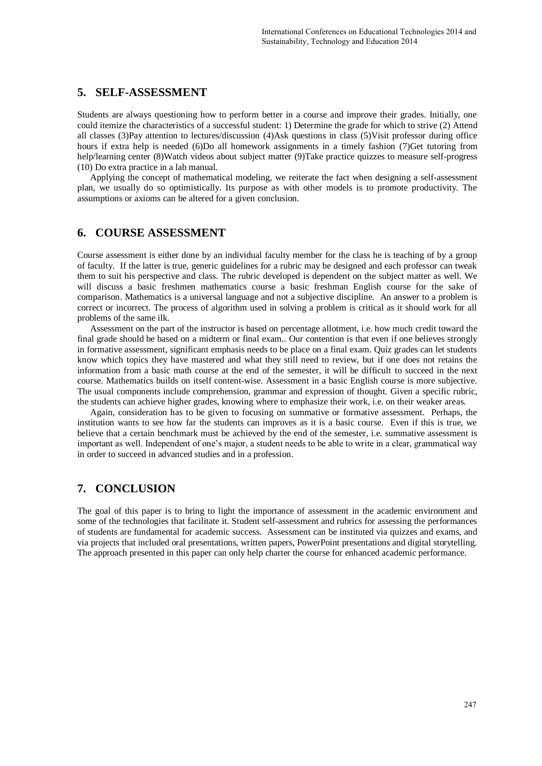#### **5. SELF-ASSESSMENT**

Students are always questioning how to perform better in a course and improve their grades. Initially, one could itemize the characteristics of a successful student: 1) Determine the grade for which to strive (2) Attend all classes (3)Pay attention to lectures/discussion (4)Ask questions in class (5)Visit professor during office hours if extra help is needed (6)Do all homework assignments in a timely fashion (7)Get tutoring from help/learning center (8)Watch videos about subject matter (9)Take practice quizzes to measure self-progress (10) Do extra practice in a lab manual.

Applying the concept of mathematical modeling, we reiterate the fact when designing a self-assessment plan, we usually do so optimistically. Its purpose as with other models is to promote productivity. The assumptions or axioms can be altered for a given conclusion.

#### **6. COURSE ASSESSMENT**

Course assessment is either done by an individual faculty member for the class he is teaching of by a group of faculty. If the latter is true, generic guidelines for a rubric may be designed and each professor can tweak them to suit his perspective and class. The rubric developed is dependent on the subject matter as well. We will discuss a basic freshmen mathematics course a basic freshman English course for the sake of comparison. Mathematics is a universal language and not a subjective discipline. An answer to a problem is correct or incorrect. The process of algorithm used in solving a problem is critical as it should work for all problems of the same ilk.

Assessment on the part of the instructor is based on percentage allotment, i.e. how much credit toward the final grade should be based on a midterm or final exam.. Our contention is that even if one believes strongly in formative assessment, significant emphasis needs to be place on a final exam. Quiz grades can let students know which topics they have mastered and what they still need to review, but if one does not retains the information from a basic math course at the end of the semester, it will be difficult to succeed in the next course. Mathematics builds on itself content-wise. Assessment in a basic English course is more subjective. The usual components include comprehension, grammar and expression of thought. Given a specific rubric, the students can achieve higher grades, knowing where to emphasize their work, i.e. on their weaker areas.

Again, consideration has to be given to focusing on summative or formative assessment. Perhaps, the institution wants to see how far the students can improves as it is a basic course. Even if this is true, we believe that a certain benchmark must be achieved by the end of the semester, i.e. summative assessment is important as well. Independent of one's major, a student needs to be able to write in a clear, grammatical way in order to succeed in advanced studies and in a profession.

## **7. CONCLUSION**

The goal of this paper is to bring to light the importance of assessment in the academic environment and some of the technologies that facilitate it. Student self-assessment and rubrics for assessing the performances of students are fundamental for academic success. Assessment can be instituted via quizzes and exams, and via projects that included oral presentations, written papers, PowerPoint presentations and digital storytelling. The approach presented in this paper can only help charter the course for enhanced academic performance.